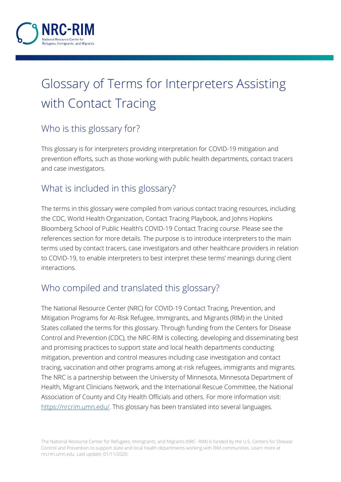

# Glossary of Terms for Interpreters Assisting with Contact Tracing

# Who is this glossary for?

This glossary is for interpreters providing interpretation for COVID-19 mitigation and prevention efforts, such as those working with public health departments, contact tracers and case investigators.

# What is included in this glossary?

The terms in this glossary were compiled from various contact tracing resources, including the CDC, World Health Organization, Contact Tracing Playbook, and Johns Hopkins Bloomberg School of Public Health's COVID-19 Contact Tracing course. Please see the references section for more details. The purpose is to introduce interpreters to the main terms used by contact tracers, case investigators and other healthcare providers in relation to COVID-19, to enable interpreters to best interpret these terms' meanings during client interactions.

# Who compiled and translated this glossary?

The National Resource Center (NRC) for COVID-19 Contact Tracing, Prevention, and Mitigation Programs for At-Risk Refugee, Immigrants, and Migrants (RIM) in the United States collated the terms for this glossary. Through funding from the Centers for Disease Control and Prevention (CDC), the NRC-RIM is collecting, developing and disseminating best and promising practices to support state and local health departments conducting mitigation, prevention and control measures including case investigation and contact tracing, vaccination and other programs among at-risk refugees, immigrants and migrants. The NRC is a partnership between the University of Minnesota, Minnesota Department of Health, Migrant Clinicians Network, and the International Rescue Committee, the National Association of County and City Health Officials and others. For more information visit: [https://nrcrim.umn.edu/.](https://nrcrim.umn.edu/) This glossary has been translated into several languages.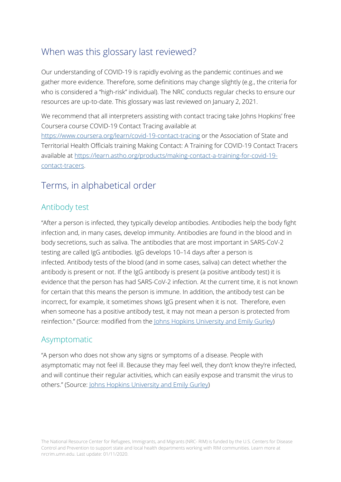# When was this glossary last reviewed?

Our understanding of COVID-19 is rapidly evolving as the pandemic continues and we gather more evidence. Therefore, some definitions may change slightly (e.g., the criteria for who is considered a "high-risk" individual). The NRC conducts regular checks to ensure our resources are up-to-date. This glossary was last reviewed on January 2, 2021.

We recommend that all interpreters assisting with contact tracing take Johns Hopkins' free Coursera course COVID-19 Contact Tracing available at

<https://www.coursera.org/learn/covid-19-contact-tracing> or the Association of State and Territorial Health Officials training Making Contact: A Training for COVID-19 Contact Tracers available at [https://learn.astho.org/products/making-contact-a-training-for-covid-19](https://learn.astho.org/products/making-contact-a-training-for-covid-19-contact-tracers) [contact-tracers.](https://learn.astho.org/products/making-contact-a-training-for-covid-19-contact-tracers)

# Terms, in alphabetical order

## Antibody test

"After a person is infected, they typically develop antibodies. Antibodies help the body fight infection and, in many cases, develop immunity. Antibodies are found in the blood and in body secretions, such as saliva. The antibodies that are most important in SARS-CoV-2 testing are called IgG antibodies. IgG develops 10–14 days after a person is infected. Antibody tests of the blood (and in some cases, saliva) can detect whether the antibody is present or not. If the IgG antibody is present (a positive antibody test) it is evidence that the person has had SARS-CoV-2 infection. At the current time, it is not known for certain that this means the person is immune. In addition, the antibody test can be incorrect, for example, it sometimes shows IgG present when it is not. Therefore, even when someone has a positive antibody test, it may not mean a person is protected from reinfection." (Source: modified from the [Johns Hopkins University and Emily Gurley\)](https://www.coursera.org/learn/covid-19-contact-tracing/resources/Oi3DJ)

### Asymptomatic

"A person who does not show any signs or symptoms of a disease. People with asymptomatic may not feel ill. Because they may feel well, they don't know they're infected, and will continue their regular activities, which can easily expose and transmit the virus to others." (Source: [Johns Hopkins University and Emily Gurley\)](https://www.coursera.org/learn/covid-19-contact-tracing/resources/Oi3DJ)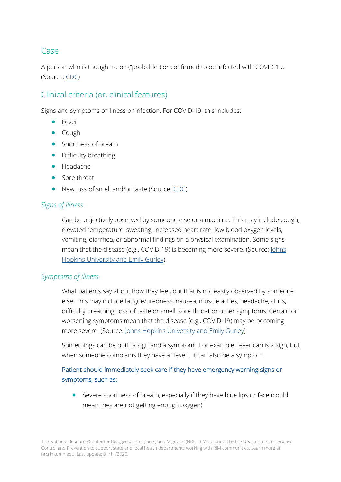### Case

A person who is thought to be ("probable") or confirmed to be infected with COVID-19. (Source: [CDC\)](https://wwwn.cdc.gov/nndss/conditions/coronavirus-disease-2019-covid-19/case-definition/2020/)

#### Clinical criteria (or, clinical features)

Signs and symptoms of illness or infection. For COVID-19, this includes:

- Fever
- Cough
- Shortness of breath
- Difficulty breathing
- Headache
- Sore throat
- New loss of smell and/or taste (Source: [CDC\)](https://www.cdc.gov/coronavirus/2019-ncov/symptoms-testing/symptoms.html)

#### *Signs of illness*

Can be objectively observed by someone else or a machine. This may include cough, elevated temperature, sweating, increased heart rate, low blood oxygen levels, vomiting, diarrhea, or abnormal findings on a physical examination. Some signs mean that the disease (e.g., COVID-19) is becoming more severe. (Source: [Johns](https://www.coursera.org/learn/covid-19-contact-tracing/resources/Oi3DJ)  [Hopkins University and Emily Gurley\)](https://www.coursera.org/learn/covid-19-contact-tracing/resources/Oi3DJ).

#### *Symptoms of illness*

What patients say about how they feel, but that is not easily observed by someone else. This may include fatigue/tiredness, nausea, muscle aches, headache, chills, difficulty breathing, loss of taste or smell, sore throat or other symptoms. Certain or worsening symptoms mean that the disease (e.g., COVID-19) may be becoming more severe. (Source: [Johns Hopkins University and Emily Gurley\)](https://www.coursera.org/learn/covid-19-contact-tracing/resources/Oi3DJ)

Somethings can be both a sign and a symptom. For example, fever can is a sign, but when someone complains they have a "fever", it can also be a symptom.

#### Patient should immediately seek care if they have emergency warning signs or symptoms, such as:

• Severe shortness of breath, especially if they have blue lips or face (could mean they are not getting enough oxygen)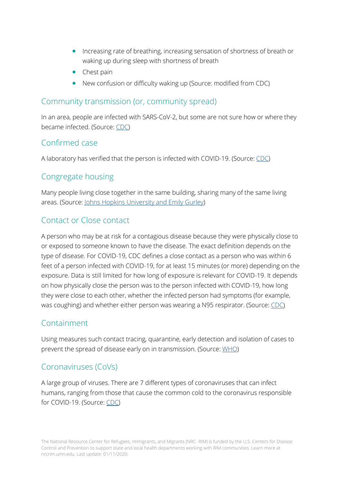- Increasing rate of breathing, increasing sensation of shortness of breath or waking up during sleep with shortness of breath
- Chest pain
- New confusion or difficulty waking up (Source: modified from [CDC\)](https://www.cdc.gov/coronavirus/2019-ncov/symptoms-testing/symptoms.html)

#### Community transmission (or, community spread)

In an area, people are infected with SARS-CoV-2, but some are not sure how or where they became infected. (Source: [CDC\)](https://www.cdc.gov/coronavirus/2019-ncov/faq.html#:%7E:text=Community%20spread%20means%20people%20have,where%20they%20became%20infected.)

#### Confirmed case

A laboratory has verified that the person is infected with COVID-19. (Source: [CDC\)](https://wwwn.cdc.gov/nndss/conditions/coronavirus-disease-2019-covid-19/case-definition/2020/)

## Congregate housing

Many people living close together in the same building, sharing many of the same living areas. (Source: [Johns Hopkins University and Emily Gurley\)](https://www.coursera.org/learn/covid-19-contact-tracing/resources/Oi3DJ)

## Contact or Close contact

A person who may be at risk for a contagious disease because they were physically close to or exposed to someone known to have the disease. The exact definition depends on the type of disease. For COVID-19, CDC defines a close contact as a person who was within 6 feet of a person infected with COVID-19, for at least 15 minutes (or more) depending on the exposure. Data is still limited for how long of exposure is relevant for COVID-19. It depends on how physically close the person was to the person infected with COVID-19, how long they were close to each other, whether the infected person had symptoms (for example, was coughing) and whether either person was wearing a N95 respirator. (Source: [CDC\)](https://www.cdc.gov/coronavirus/2019-ncov/php/contact-tracing/contact-tracing-plan/appendix.html#contact)

#### Containment

Using measures such contact tracing, quarantine, early detection and isolation of cases to prevent the spread of disease early on in transmission. (Source: [WHO\)](https://www.who.int/emergencies/diseases/managing-epidemics-interactive.pdf)

### Coronaviruses (CoVs)

A large group of viruses. There are 7 different types of coronaviruses that can infect humans, ranging from those that cause the common cold to the coronavirus responsible for COVID-19. (Source: [CDC\)](https://www.cdc.gov/coronavirus/types.html)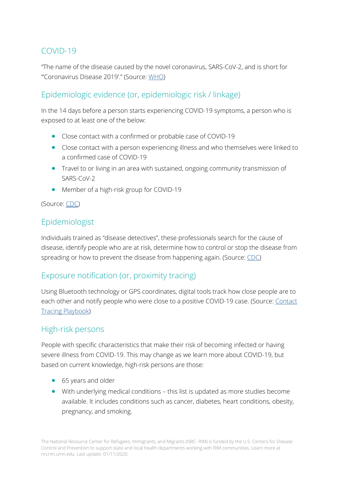## COVID-19

"The name of the disease caused by the novel coronavirus, SARS-CoV-2, and is short for "'Coronavirus Disease 2019'." (Source: [WHO\)](https://www.who.int/news-room/q-a-detail/q-a-coronaviruses)

#### Epidemiologic evidence (or, epidemiologic risk / linkage)

In the 14 days before a person starts experiencing COVID-19 symptoms, a person who is exposed to at least one of the below:

- Close contact with a confirmed or probable case of COVID-19
- Close contact with a person experiencing illness and who themselves were linked to a confirmed case of COVID-19
- Travel to or living in an area with sustained, ongoing community transmission of SARS-CoV-2
- Member of a high-risk group for COVID-19

(Source: [CDC\)](https://wwwn.cdc.gov/nndss/conditions/coronavirus-disease-2019-covid-19/case-definition/2020/)

## Epidemiologist

Individuals trained as "disease detectives", these professionals search for the cause of disease, identify people who are at risk, determine how to control or stop the disease from spreading or how to prevent the disease from happening again. (Source: [CDC\)](https://www.cdc.gov/careerpaths/k12teacherroadmap/epidemiologists.html)

### Exposure notification (or, proximity tracing)

Using Bluetooth technology or GPS coordinates, digital tools track how close people are to each other and notify people who were close to a positive COVID-19 case. (Source: Contact [Tracing Playbook\)](https://contacttracingplaybook.resolvetosavelives.org/glossary)

#### High-risk persons

People with specific characteristics that make their risk of becoming infected or having severe illness from COVID-19. This may change as we learn more about COVID-19, but based on current knowledge, high-risk persons are those:

- 65 years and older
- With underlying medical conditions this list is updated as more studies become available. It includes conditions such as cancer, diabetes, heart conditions, obesity, pregnancy, and smoking.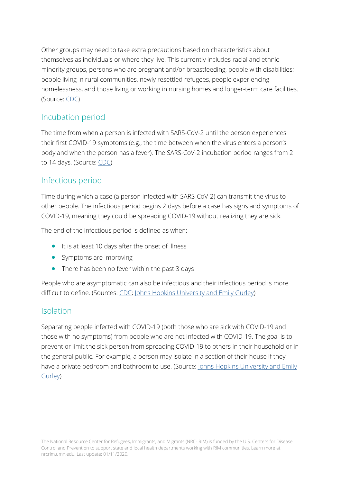Other groups may need to take extra precautions based on characteristics about themselves as individuals or where they live. This currently includes racial and ethnic minority groups, persons who are pregnant and/or breastfeeding, people with disabilities; people living in rural communities, newly resettled refugees, people experiencing homelessness, and those living or working in nursing homes and longer-term care facilities. (Source: [CDC\)](https://www.cdc.gov/coronavirus/2019-ncov/need-extra-precautions/index.html)

#### Incubation period

The time from when a person is infected with SARS-CoV-2 until the person experiences their first COVID-19 symptoms (e.g., the time between when the virus enters a person's body and when the person has a fever). The SARS-CoV-2 incubation period ranges from 2 to 14 days. (Source: [CDC\)](https://www.cdc.gov/coronavirus/2019-ncov/hcp/faq.html#:%7E:text=Based%20on%20existing%20literature%2C,2%E2%80%9314%20days.)

#### Infectious period

Time during which a case (a person infected with SARS-CoV-2) can transmit the virus to other people. The infectious period begins 2 days before a case has signs and symptoms of COVID-19, meaning they could be spreading COVID-19 without realizing they are sick.

The end of the infectious period is defined as when:

- It is at least 10 days after the onset of illness
- Symptoms are improving
- There has been no fever within the past 3 days

People who are asymptomatic can also be infectious and their infectious period is more difficult to define. (Sources: [CDC;](https://www.cdc.gov/coronavirus/2019-ncov/hcp/disposition-in-home-patients.html) [Johns Hopkins University and Emily Gurley\)](https://www.coursera.org/learn/covid-19-contact-tracing/resources/Oi3DJ)

#### Isolation

Separating people infected with COVID-19 (both those who are sick with COVID-19 and those with no symptoms) from people who are not infected with COVID-19. The goal is to prevent or limit the sick person from spreading COVID-19 to others in their household or in the general public. For example, a person may isolate in a section of their house if they have a private bedroom and bathroom to use. (Source: [Johns Hopkins University and Emily](https://www.coursera.org/learn/covid-19-contact-tracing/resources/Oi3DJ)  [Gurley\)](https://www.coursera.org/learn/covid-19-contact-tracing/resources/Oi3DJ)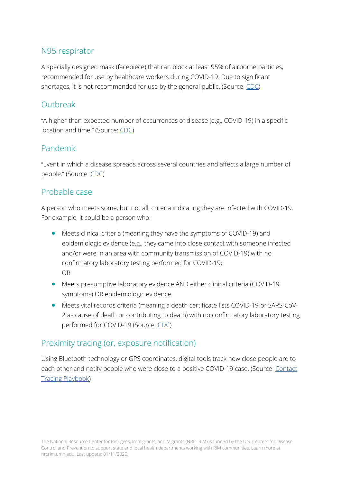#### N95 respirator

A specially designed mask (facepiece) that can block at least 95% of airborne particles, recommended for use by healthcare workers during COVID-19. Due to significant shortages, it is not recommended for use by the general public. (Source: [CDC\)](https://www.cdc.gov/coronavirus/2019-ncov/hcp/respirator-use-faq.html)

#### **Outbreak**

"A higher-than-expected number of occurrences of disease (e.g., COVID-19) in a specific location and time." (Source: [CDC\)](https://www.cdc.gov/coronavirus/2019-ncov/cases-updates/about-epidemiology/identifying-source-outbreak.html#:%7E:text=An%20outbreak%20is%20called%20an,classified%20as%20a%20pandemic.)

### Pandemic

"Event in which a disease spreads across several countries and affects a large number of people." (Source: [CDC\)](https://www.cdc.gov/coronavirus/2019-ncov/cases-updates/about-epidemiology/identifying-source-outbreak.html#:%7E:text=An%20outbreak%20is%20called%20an,classified%20as%20a%20pandemic.)

#### Probable case

A person who meets some, but not all, criteria indicating they are infected with COVID-19. For example, it could be a person who:

- Meets clinical criteria (meaning they have the symptoms of COVID-19) and epidemiologic evidence (e.g., they came into close contact with someone infected and/or were in an area with community transmission of COVID-19) with no confirmatory laboratory testing performed for COVID-19; OR
- Meets presumptive laboratory evidence AND either clinical criteria (COVID-19 symptoms) OR epidemiologic evidence
- Meets vital records criteria (meaning a death certificate lists COVID-19 or SARS-CoV-2 as cause of death or contributing to death) with no confirmatory laboratory testing performed for COVID-19 (Source: [CDC\)](https://wwwn.cdc.gov/nndss/conditions/coronavirus-disease-2019-covid-19/case-definition/2020/)

#### Proximity tracing (or, exposure notification)

Using Bluetooth technology or GPS coordinates, digital tools track how close people are to each other and notify people who were close to a positive COVID-19 case. (Source: Contact [Tracing Playbook\)](https://contacttracingplaybook.resolvetosavelives.org/glossary)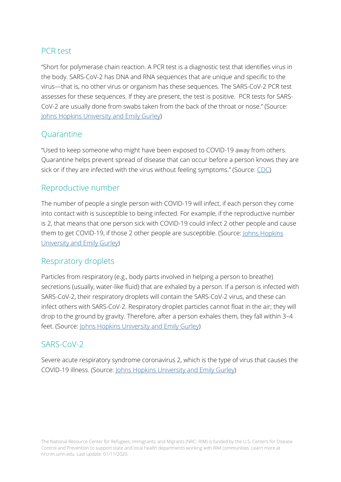#### PCR test

"Short for polymerase chain reaction. A PCR test is a diagnostic test that identifies virus in the body. SARS-CoV-2 has DNA and RNA sequences that are unique and specific to the virus—that is, no other virus or organism has these sequences. The SARS-CoV-2 PCR test assesses for these sequences. If they are present, the test is positive. PCR tests for SARS-CoV-2 are usually done from swabs taken from the back of the throat or nose." (Source: [Johns Hopkins University and Emily Gurley\)](https://www.coursera.org/learn/covid-19-contact-tracing/resources/Oi3DJ)

#### **Ouarantine**

"Used to keep someone who might have been exposed to COVID-19 away from others. Quarantine helps prevent spread of disease that can occur before a person knows they are sick or if they are infected with the virus without feeling symptoms." (Source: [CDC\)](https://www.cdc.gov/coronavirus/2019-ncov/if-you-are-sick/quarantine-isolation.html)

#### Reproductive number

The number of people a single person with COVID-19 will infect, if each person they come into contact with is susceptible to being infected. For example, if the reproductive number is 2, that means that one person sick with COVID-19 could infect 2 other people and cause them to get COVID-19, if those 2 other people are susceptible. (Source: *Johns Hopkins* [University and Emily Gurley\)](https://www.coursera.org/learn/covid-19-contact-tracing/resources/Oi3DJ)

#### Respiratory droplets

Particles from respiratory (e.g., body parts involved in helping a person to breathe) secretions (usually, water-like fluid) that are exhaled by a person. If a person is infected with SARS-CoV-2, their respiratory droplets will contain the SARS-CoV-2 virus, and these can infect others with SARS-CoV-2. Respiratory droplet particles cannot float in the air; they will drop to the ground by gravity. Therefore, after a person exhales them, they fall within 3–4 feet. (Source: [Johns Hopkins University and Emily Gurley\)](https://www.coursera.org/learn/covid-19-contact-tracing/resources/Oi3DJ)

#### SARS-CoV-2

Severe acute respiratory syndrome coronavirus 2, which is the type of virus that causes the COVID-19 illness. (Source: [Johns Hopkins University and Emily Gurley\)](https://www.coursera.org/learn/covid-19-contact-tracing/resources/Oi3DJ)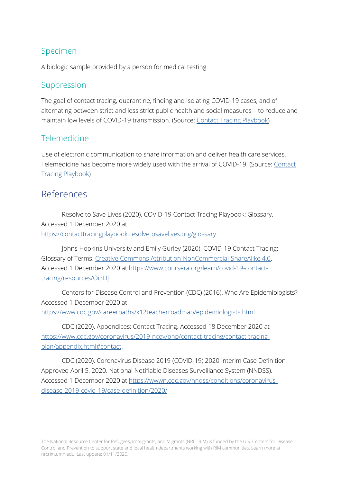#### Specimen

A biologic sample provided by a person for medical testing.

#### Suppression

The goal of contact tracing, quarantine, finding and isolating COVID-19 cases, and of alternating between strict and less strict public health and social measures – to reduce and maintain low levels of COVID-19 transmission. (Source: [Contact Tracing Playbook\)](https://contacttracingplaybook.resolvetosavelives.org/glossary)

### Telemedicine

Use of electronic communication to share information and deliver health care services. Telemedicine has become more widely used with the arrival of COVID-19. (Source: [Contact](https://contacttracingplaybook.resolvetosavelives.org/glossary)  [Tracing Playbook\)](https://contacttracingplaybook.resolvetosavelives.org/glossary)

# References

Resolve to Save Lives (2020). COVID-19 Contact Tracing Playbook: Glossary. Accessed 1 December 2020 at <https://contacttracingplaybook.resolvetosavelives.org/glossary>

Johns Hopkins University and Emily Gurley (2020). COVID-19 Contact Tracing: Glossary of Terms. [Creative Commons Attribution-NonCommercial-ShareAlike 4.0.](https://creativecommons.org/licenses/by-nc-sa/4.0/) Accessed 1 December 2020 at [https://www.coursera.org/learn/covid-19-contact](https://www.coursera.org/learn/covid-19-contact-tracing/resources/Oi3DJ)[tracing/resources/Oi3DJ](https://www.coursera.org/learn/covid-19-contact-tracing/resources/Oi3DJ)

Centers for Disease Control and Prevention (CDC) (2016). Who Are Epidemiologists? Accessed 1 December 2020 at <https://www.cdc.gov/careerpaths/k12teacherroadmap/epidemiologists.html>

CDC (2020). Appendices: Contact Tracing. Accessed 18 December 2020 at [https://www.cdc.gov/coronavirus/2019-ncov/php/contact-tracing/contact-tracing](https://www.cdc.gov/coronavirus/2019-ncov/php/contact-tracing/contact-tracing-plan/appendix.html#contact)[plan/appendix.html#contact.](https://www.cdc.gov/coronavirus/2019-ncov/php/contact-tracing/contact-tracing-plan/appendix.html#contact)

CDC (2020). Coronavirus Disease 2019 (COVID-19) 2020 Interim Case Definition, Approved April 5, 2020. National Notifiable Diseases Surveillance System (NNDSS). Accessed 1 December 2020 at [https://wwwn.cdc.gov/nndss/conditions/coronavirus](https://wwwn.cdc.gov/nndss/conditions/coronavirus-disease-2019-covid-19/case-definition/2020/)[disease-2019-covid-19/case-definition/2020/](https://wwwn.cdc.gov/nndss/conditions/coronavirus-disease-2019-covid-19/case-definition/2020/)